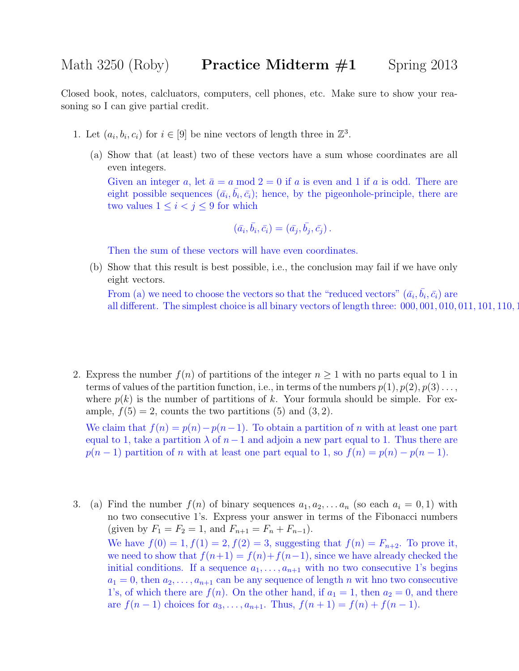Closed book, notes, calcluators, computers, cell phones, etc. Make sure to show your reasoning so I can give partial credit.

- 1. Let  $(a_i, b_i, c_i)$  for  $i \in [9]$  be nine vectors of length three in  $\mathbb{Z}^3$ .
	- (a) Show that (at least) two of these vectors have a sum whose coordinates are all even integers.

Given an integer a, let  $\bar{a} = a \mod 2 = 0$  if a is even and 1 if a is odd. There are eight possible sequences  $(\bar{a}_i, \bar{b}_i, \bar{c}_i)$ ; hence, by the pigeonhole-principle, there are two values  $1 \leq i < j \leq 9$  for which

$$
(\bar{a}_i, \bar{b}_i, \bar{c}_i) = (\bar{a}_j, \bar{b}_j, \bar{c}_j).
$$

Then the sum of these vectors will have even coordinates.

(b) Show that this result is best possible, i.e., the conclusion may fail if we have only eight vectors.

From (a) we need to choose the vectors so that the "reduced vectors"  $(\bar{a}_i, \bar{b}_i, \bar{c}_i)$  are all different. The simplest choice is all binary vectors of length three:  $000, 001, 010, 011, 101, 110, 110$ 

2. Express the number  $f(n)$  of partitions of the integer  $n \geq 1$  with no parts equal to 1 in terms of values of the partition function, i.e., in terms of the numbers  $p(1), p(2), p(3) \ldots$ , where  $p(k)$  is the number of partitions of k. Your formula should be simple. For example,  $f(5) = 2$ , counts the two partitions (5) and (3, 2).

We claim that  $f(n) = p(n) - p(n-1)$ . To obtain a partition of n with at least one part equal to 1, take a partition  $\lambda$  of  $n-1$  and adjoin a new part equal to 1. Thus there are  $p(n-1)$  partition of n with at least one part equal to 1, so  $f(n) = p(n) - p(n-1)$ .

3. (a) Find the number  $f(n)$  of binary sequences  $a_1, a_2, \ldots, a_n$  (so each  $a_i = 0, 1$ ) with no two consecutive 1's. Express your answer in terms of the Fibonacci numbers (given by  $F_1 = F_2 = 1$ , and  $F_{n+1} = F_n + F_{n-1}$ ). We have  $f(0) = 1, f(1) = 2, f(2) = 3$ , suggesting that  $f(n) = F_{n+2}$ . To prove it, we need to show that  $f(n+1) = f(n)+f(n-1)$ , since we have already checked the initial conditions. If a sequence  $a_1, \ldots, a_{n+1}$  with no two consecutive 1's begins  $a_1 = 0$ , then  $a_2, \ldots, a_{n+1}$  can be any sequence of length n wit hno two consecutive 1's, of which there are  $f(n)$ . On the other hand, if  $a_1 = 1$ , then  $a_2 = 0$ , and there are  $f(n-1)$  choices for  $a_3, \ldots, a_{n+1}$ . Thus,  $f(n+1) = f(n) + f(n-1)$ .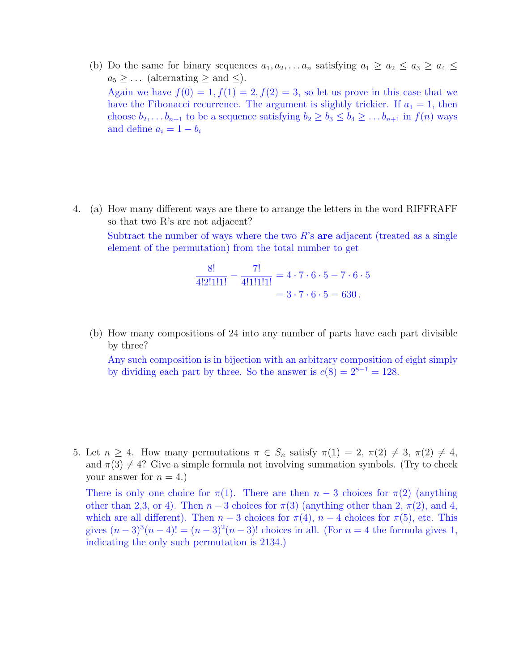(b) Do the same for binary sequences  $a_1, a_2, \ldots, a_n$  satisfying  $a_1 \ge a_2 \le a_3 \ge a_4 \le a_5$  $a_5 \geq \ldots$  (alternating  $\geq$  and  $\leq$ ). Again we have  $f(0) = 1, f(1) = 2, f(2) = 3$ , so let us prove in this case that we have the Fibonacci recurrence. The argument is slightly trickier. If  $a_1 = 1$ , then choose  $b_2, \ldots b_{n+1}$  to be a sequence satisfying  $b_2 \ge b_3 \le b_4 \ge \ldots b_{n+1}$  in  $f(n)$  ways and define  $a_i = 1 - b_i$ 

4. (a) How many different ways are there to arrange the letters in the word RIFFRAFF so that two R's are not adjacent? Subtract the number of ways where the two  $R$ 's are adjacent (treated as a single

element of the permutation) from the total number to get

$$
\frac{8!}{4!2!1!1!} - \frac{7!}{4!1!1!1!} = 4 \cdot 7 \cdot 6 \cdot 5 - 7 \cdot 6 \cdot 5
$$

$$
= 3 \cdot 7 \cdot 6 \cdot 5 = 630.
$$

(b) How many compositions of 24 into any number of parts have each part divisible by three?

Any such composition is in bijection with an arbitrary composition of eight simply by dividing each part by three. So the answer is  $c(8) = 2^{8-1} = 128$ .

5. Let  $n \geq 4$ . How many permutations  $\pi \in S_n$  satisfy  $\pi(1) = 2$ ,  $\pi(2) \neq 3$ ,  $\pi(2) \neq 4$ , and  $\pi(3) \neq 4$ ? Give a simple formula not involving summation symbols. (Try to check your answer for  $n = 4$ .

There is only one choice for  $\pi(1)$ . There are then  $n-3$  choices for  $\pi(2)$  (anything other than 2,3, or 4). Then  $n-3$  choices for  $\pi(3)$  (anything other than 2,  $\pi(2)$ , and 4, which are all different). Then  $n-3$  choices for  $\pi(4)$ ,  $n-4$  choices for  $\pi(5)$ , etc. This gives  $(n-3)^3(n-4)! = (n-3)^2(n-3)!$  choices in all. (For  $n = 4$  the formula gives 1, indicating the only such permutation is 2134.)